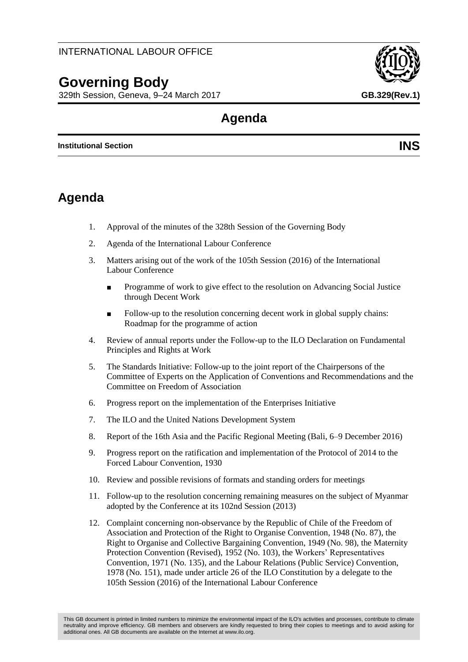# **Governing Body**

329th Session, Geneva, 9–24 March 2017 **GB.329(Rev.1)**

# **Agenda**

**Institutional Section INS**

# **Agenda**

- 1. Approval of the minutes of the 328th Session of the Governing Body
- 2. Agenda of the International Labour Conference
- 3. Matters arising out of the work of the 105th Session (2016) of the International Labour Conference
	- Programme of work to give effect to the resolution on Advancing Social Justice through Decent Work
	- Follow-up to the resolution concerning decent work in global supply chains: Roadmap for the programme of action
- 4. Review of annual reports under the Follow-up to the ILO Declaration on Fundamental Principles and Rights at Work
- 5. The Standards Initiative: Follow-up to the joint report of the Chairpersons of the Committee of Experts on the Application of Conventions and Recommendations and the Committee on Freedom of Association
- 6. Progress report on the implementation of the Enterprises Initiative
- 7. The ILO and the United Nations Development System
- 8. Report of the 16th Asia and the Pacific Regional Meeting (Bali, 6–9 December 2016)
- 9. Progress report on the ratification and implementation of the Protocol of 2014 to the Forced Labour Convention, 1930
- 10. Review and possible revisions of formats and standing orders for meetings
- 11. Follow-up to the resolution concerning remaining measures on the subject of Myanmar adopted by the Conference at its 102nd Session (2013)
- 12. Complaint concerning non-observance by the Republic of Chile of the Freedom of Association and Protection of the Right to Organise Convention, 1948 (No. 87), the Right to Organise and Collective Bargaining Convention, 1949 (No. 98), the Maternity Protection Convention (Revised), 1952 (No. 103), the Workers' Representatives Convention, 1971 (No. 135), and the Labour Relations (Public Service) Convention, 1978 (No. 151), made under article 26 of the ILO Constitution by a delegate to the 105th Session (2016) of the International Labour Conference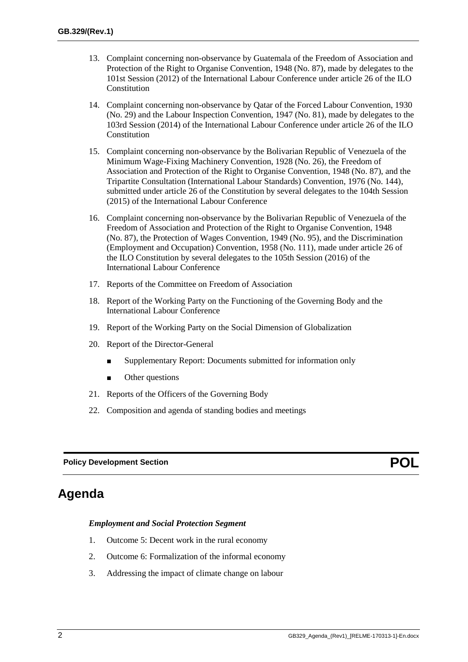- 13. Complaint concerning non-observance by Guatemala of the Freedom of Association and Protection of the Right to Organise Convention, 1948 (No. 87), made by delegates to the 101st Session (2012) of the International Labour Conference under article 26 of the ILO Constitution
- 14. Complaint concerning non-observance by Qatar of the Forced Labour Convention, 1930 (No. 29) and the Labour Inspection Convention, 1947 (No. 81), made by delegates to the 103rd Session (2014) of the International Labour Conference under article 26 of the ILO Constitution
- 15. Complaint concerning non-observance by the Bolivarian Republic of Venezuela of the Minimum Wage-Fixing Machinery Convention, 1928 (No. 26), the Freedom of Association and Protection of the Right to Organise Convention, 1948 (No. 87), and the Tripartite Consultation (International Labour Standards) Convention, 1976 (No. 144), submitted under article 26 of the Constitution by several delegates to the 104th Session (2015) of the International Labour Conference
- 16. Complaint concerning non-observance by the Bolivarian Republic of Venezuela of the Freedom of Association and Protection of the Right to Organise Convention, 1948 (No. 87), the Protection of Wages Convention, 1949 (No. 95), and the Discrimination (Employment and Occupation) Convention, 1958 (No. 111), made under article 26 of the ILO Constitution by several delegates to the 105th Session (2016) of the International Labour Conference
- 17. Reports of the Committee on Freedom of Association
- 18. Report of the Working Party on the Functioning of the Governing Body and the International Labour Conference
- 19. Report of the Working Party on the Social Dimension of Globalization
- 20. Report of the Director-General
	- Supplementary Report: Documents submitted for information only
	- Other questions
- 21. Reports of the Officers of the Governing Body
- 22. Composition and agenda of standing bodies and meetings

### **Policy Development Section** *POL*

# **Agenda**

#### *Employment and Social Protection Segment*

- 1. Outcome 5: Decent work in the rural economy
- 2. Outcome 6: Formalization of the informal economy
- 3. Addressing the impact of climate change on labour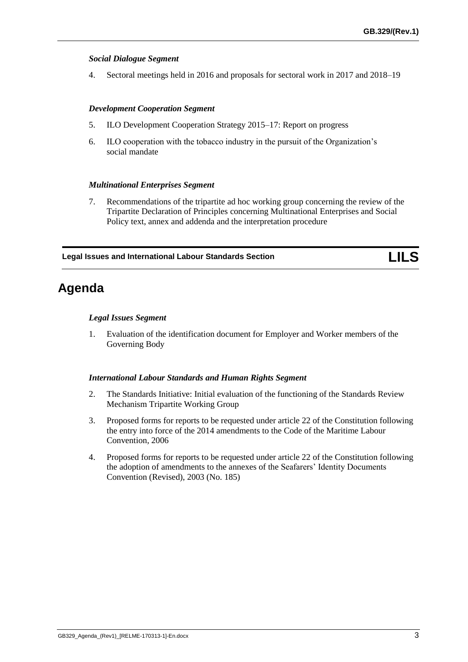### *Social Dialogue Segment*

4. Sectoral meetings held in 2016 and proposals for sectoral work in 2017 and 2018–19

### *Development Cooperation Segment*

- 5. ILO Development Cooperation Strategy 2015–17: Report on progress
- 6. ILO cooperation with the tobacco industry in the pursuit of the Organization's social mandate

### *Multinational Enterprises Segment*

7. Recommendations of the tripartite ad hoc working group concerning the review of the Tripartite Declaration of Principles concerning Multinational Enterprises and Social Policy text, annex and addenda and the interpretation procedure

**Legal Issues and International Labour Standards Section LILS**

# **Agenda**

### *Legal Issues Segment*

1. Evaluation of the identification document for Employer and Worker members of the Governing Body

### *International Labour Standards and Human Rights Segment*

- 2. The Standards Initiative: Initial evaluation of the functioning of the Standards Review Mechanism Tripartite Working Group
- 3. Proposed forms for reports to be requested under article 22 of the Constitution following the entry into force of the 2014 amendments to the Code of the Maritime Labour Convention, 2006
- 4. Proposed forms for reports to be requested under article 22 of the Constitution following the adoption of amendments to the annexes of the Seafarers' Identity Documents Convention (Revised), 2003 (No. 185)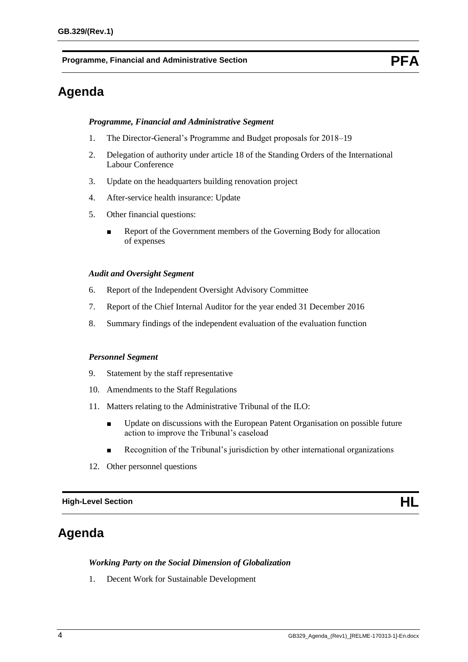**Programme, Financial and Administrative Section PEA** 

# **Agenda**

#### *Programme, Financial and Administrative Segment*

- 1. The Director-General's Programme and Budget proposals for 2018–19
- 2. Delegation of authority under article 18 of the Standing Orders of the International Labour Conference
- 3. Update on the headquarters building renovation project
- 4. After-service health insurance: Update
- 5. Other financial questions:
	- Report of the Government members of the Governing Body for allocation of expenses

#### *Audit and Oversight Segment*

- 6. Report of the Independent Oversight Advisory Committee
- 7. Report of the Chief Internal Auditor for the year ended 31 December 2016
- 8. Summary findings of the independent evaluation of the evaluation function

#### *Personnel Segment*

- 9. Statement by the staff representative
- 10. Amendments to the Staff Regulations
- 11. Matters relating to the Administrative Tribunal of the ILO:
	- Update on discussions with the European Patent Organisation on possible future action to improve the Tribunal's caseload
	- Recognition of the Tribunal's jurisdiction by other international organizations
- 12. Other personnel questions

**High-Level Section HL**

# **Agenda**

#### *Working Party on the Social Dimension of Globalization*

1. Decent Work for Sustainable Development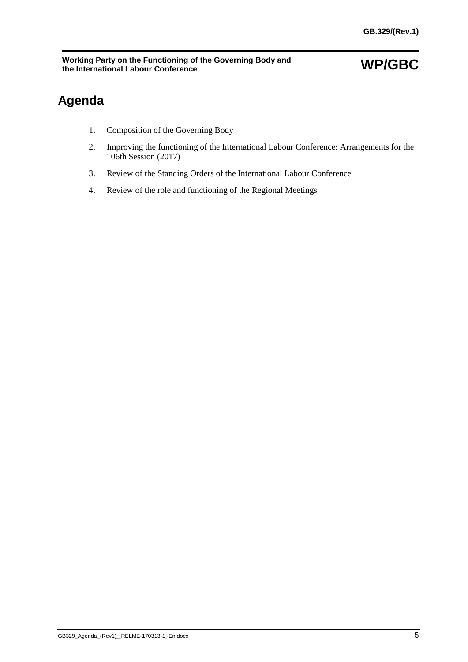# **Agenda**

- 1. Composition of the Governing Body
- 2. Improving the functioning of the International Labour Conference: Arrangements for the 106th Session (2017)
- 3. Review of the Standing Orders of the International Labour Conference
- 4. Review of the role and functioning of the Regional Meetings